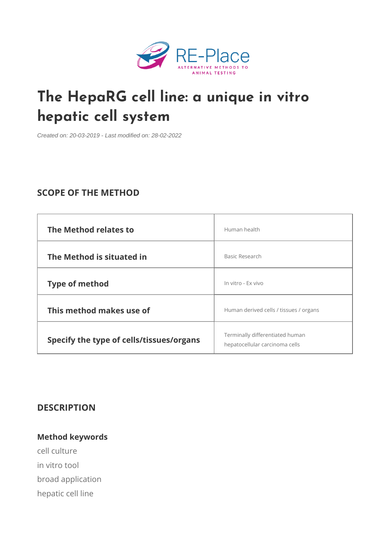# [The HepaRG cell line: a un](https://re-place.be/method/heparg-cell-line-unique-vitro-hepatic-cell-system)ique in hepatic cell system

Created on: 20-03-2019 - Last modified on: 28-02-2022

# SCOPE OF THE METHOD

| The Method relates to                                            | Human health                           |  |
|------------------------------------------------------------------|----------------------------------------|--|
| The Method is situated in                                        | Basic Research                         |  |
| Type of method                                                   | In vitro - Ex vivo                     |  |
| This method makes use of                                         | Human derived cells / tissues / organs |  |
| Specify the type of cells/tiss e rerminally differentiated human |                                        |  |

# DESCRIPTION

Method keywords cell culture in vitro tool broad application hepatic cell line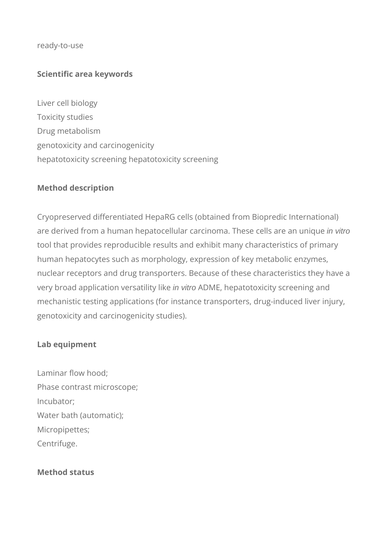#### ready-to-use

# **Scientific area keywords**

Liver cell biology Toxicity studies Drug metabolism genotoxicity and carcinogenicity hepatotoxicity screening hepatotoxicity screening

## **Method description**

Cryopreserved differentiated HepaRG cells (obtained from Biopredic International) are derived from a human hepatocellular carcinoma. These cells are an unique in vitro tool that provides reproducible results and exhibit many characteristics of primary human hepatocytes such as morphology, expression of key metabolic enzymes, nuclear receptors and drug transporters. Because of these characteristics they have a very broad application versatility like in vitro ADME, hepatotoxicity screening and mechanistic testing applications (for instance transporters, drug-induced liver injury, genotoxicity and carcinogenicity studies).

### **Lab equipment**

Laminar flow hood; Phase contrast microscope; Incubator; Water bath (automatic); Micropipettes; Centrifuge.

### **Method status**